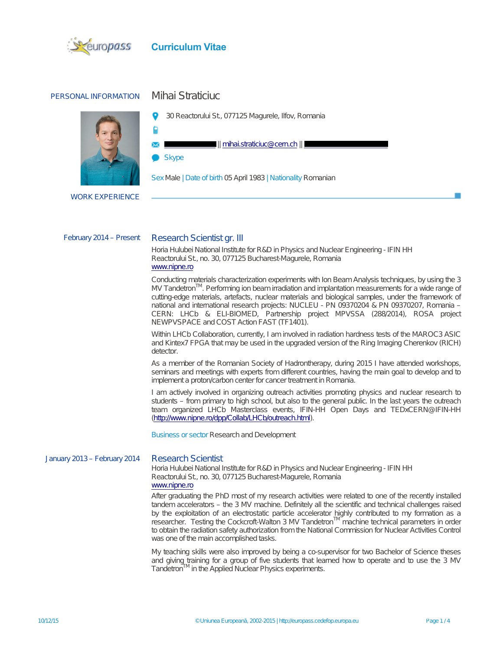

## PERSONAL INFORMATION Mihai Straticiuc



30 Reactorului St., 077125 Magurele, Ilfov, Romania

**Skype** 

Ċ

SexMale | Date of birth 05 April 1983 | Nationality Romanian

|| mihai.straticiuc@cern.ch||

WORK EXPERIENCE

#### February 2014 - Present Research Scientist gr. III

Horia Hulubei National Institute for R&D in Physics and Nuclear Engineering - IFIN HH Reactorului St., no. 30, 077125 Bucharest-Magurele, Romania www.nipne.ro

Conducting materials characterization experiments with Ion Beam Analysis techniques, by using the 3  $\mathsf{MV}$  Tandetron $\mathsf{TM}$ . Performing ion beam irradiation and implantation measurements for a wide range of cutting-edge materials, artefacts, nuclear materials and biological samples, under the framework of national and international research projects: NUCLEU - PN 09370204 & PN 09370207, Romania – CERN: LHCb & ELI-BIOMED, Partnership project MPVSSA (288/2014), ROSA project NEWPVSPACE and COST Action FAST (TF1401).

Within LHCb Collaboration, currently, I am involved in radiation hardness tests of the MAROC3 ASIC and Kintex7 FPGA that may be used in the upgraded version of the Ring Imaging Cherenkov (RICH) detector.

As a member of the Romanian Society of Hadrontherapy, during 2015 I have attended workshops, seminars and meetings with experts from different countries, having the main goal to develop and to implement a proton/carbon center for cancer treatment in Romania.

I am actively involved in organizing outreach activities promoting physics and nuclear research to students – from primary to high school, but also to the general public. In the last years the outreach team organized LHCb Masterclass events, IFIN-HH Open Days and TEDxCERN@IFIN-HH (http://www.nipne.ro/dpp/Collab/LHCb/outreach.html).

Business or sector Research and Development

#### J anuary 2013 – February 2014 Research Scientist

Horia Hulubei National Institute for R&D in Physics and Nuclear Engineering - IFIN HH Reactorului St., no. 30, 077125 Bucharest-Magurele, Romania www.nipne.ro

After graduating the PhD most of my research activities were related to one of the recently installed tandem accelerators – the 3 MV machine. Definitely all the scientific and technical challenges raised by the exploitation of an electrostatic particle accelerator highly contributed to my formation as a researcher. Testing the Cockcroft-Walton 3 MV Tandetron<sup>TM</sup> machine technical parameters in order to obtain the radiation safety authorization from the National Commission for Nuclear Activities Control was one of the main accomplished tasks.

My teaching skills were also improved by being a co-supervisor for two Bachelor of Science theses and giving training for a group of five students that learned how to operate and to use the 3 MV Tandetron<sup>IM</sup> in the Applied Nuclear Physics experiments.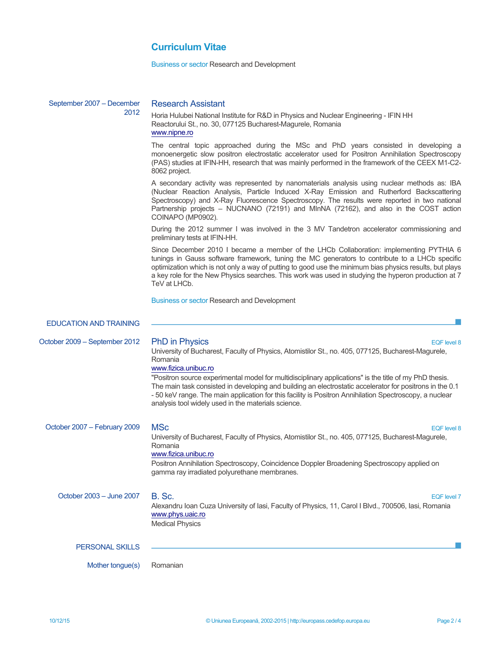Business or sector Research and Development

| September 2007 - December     | <b>Research Assistant</b>                                                                                                                                                                                                                                                                                                                                                                                                                                                                                                                                                    |
|-------------------------------|------------------------------------------------------------------------------------------------------------------------------------------------------------------------------------------------------------------------------------------------------------------------------------------------------------------------------------------------------------------------------------------------------------------------------------------------------------------------------------------------------------------------------------------------------------------------------|
| 2012                          | Horia Hulubei National Institute for R&D in Physics and Nuclear Engineering - IFIN HH<br>Reactorului St., no. 30, 077125 Bucharest-Magurele, Romania<br>www.nipne.ro                                                                                                                                                                                                                                                                                                                                                                                                         |
|                               | The central topic approached during the MSc and PhD years consisted in developing a<br>monoenergetic slow positron electrostatic accelerator used for Positron Annihilation Spectroscopy<br>(PAS) studies at IFIN-HH, research that was mainly performed in the framework of the CEEX M1-C2-<br>8062 project.                                                                                                                                                                                                                                                                |
|                               | A secondary activity was represented by nanomaterials analysis using nuclear methods as: IBA<br>(Nuclear Reaction Analysis, Particle Induced X-Ray Emission and Rutherford Backscattering<br>Spectroscopy) and X-Ray Fluorescence Spectroscopy. The results were reported in two national<br>Partnership projects - NUCNANO (72191) and MInNA (72162), and also in the COST action<br>COINAPO (MP0902).                                                                                                                                                                      |
|                               | During the 2012 summer I was involved in the 3 MV Tandetron accelerator commissioning and<br>preliminary tests at IFIN-HH.                                                                                                                                                                                                                                                                                                                                                                                                                                                   |
|                               | Since December 2010 I became a member of the LHCb Collaboration: implementing PYTHIA 6<br>tunings in Gauss software framework, tuning the MC generators to contribute to a LHCb specific<br>optimization which is not only a way of putting to good use the minimum bias physics results, but plays<br>a key role for the New Physics searches. This work was used in studying the hyperon production at 7<br>TeV at LHCb.                                                                                                                                                   |
|                               | <b>Business or sector Research and Development</b>                                                                                                                                                                                                                                                                                                                                                                                                                                                                                                                           |
| <b>EDUCATION AND TRAINING</b> |                                                                                                                                                                                                                                                                                                                                                                                                                                                                                                                                                                              |
| October 2009 - September 2012 | <b>PhD</b> in Physics<br><b>EQF</b> level 8<br>University of Bucharest, Faculty of Physics, Atomistilor St., no. 405, 077125, Bucharest-Magurele,<br>Romania<br>www.fizica.unibuc.ro<br>"Positron source experimental model for multidisciplinary applications" is the title of my PhD thesis.<br>The main task consisted in developing and building an electrostatic accelerator for positrons in the 0.1<br>- 50 keV range. The main application for this facility is Positron Annihilation Spectroscopy, a nuclear<br>analysis tool widely used in the materials science. |
|                               |                                                                                                                                                                                                                                                                                                                                                                                                                                                                                                                                                                              |
| October 2007 - February 2009  | <b>MSc</b><br><b>EQF</b> level 8<br>University of Bucharest, Faculty of Physics, Atomistilor St., no. 405, 077125, Bucharest-Magurele,<br>Romania<br>www.fizica.unibuc.ro<br>Positron Annihilation Spectroscopy, Coincidence Doppler Broadening Spectroscopy applied on<br>gamma ray irradiated polyurethane membranes.                                                                                                                                                                                                                                                      |
| October 2003 - June 2007      | B. Sc.<br><b>EQF</b> level 7<br>Alexandru Ioan Cuza University of Iasi, Faculty of Physics, 11, Carol I Blvd., 700506, Iasi, Romania<br>www.phys.uaic.ro<br><b>Medical Physics</b>                                                                                                                                                                                                                                                                                                                                                                                           |
| <b>PERSONAL SKILLS</b>        |                                                                                                                                                                                                                                                                                                                                                                                                                                                                                                                                                                              |
| Mother tongue(s)              | Romanian                                                                                                                                                                                                                                                                                                                                                                                                                                                                                                                                                                     |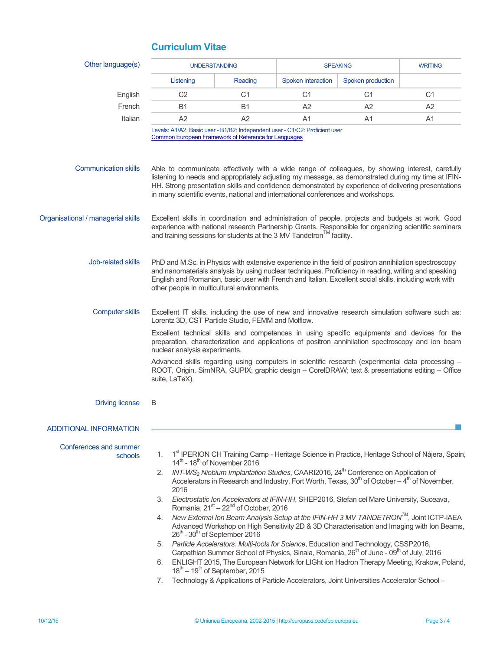| Listening<br>C <sub>2</sub><br><b>B1</b><br>A2                                                                                                                                                                                                                                                                                                                                                                                                                                                                                                                                                                        | Reading<br>C <sub>1</sub><br><b>B1</b><br>A2         | Spoken interaction<br>C <sub>1</sub><br>A2                                                                                                                            | Spoken production<br>C <sub>1</sub>     | C <sub>1</sub>                                                                                                                                                                                                                                                                                                                                                                                                                                                                                                                                                                                                                                                                                                                                                                                                                                                                                                                                                                                   |
|-----------------------------------------------------------------------------------------------------------------------------------------------------------------------------------------------------------------------------------------------------------------------------------------------------------------------------------------------------------------------------------------------------------------------------------------------------------------------------------------------------------------------------------------------------------------------------------------------------------------------|------------------------------------------------------|-----------------------------------------------------------------------------------------------------------------------------------------------------------------------|-----------------------------------------|--------------------------------------------------------------------------------------------------------------------------------------------------------------------------------------------------------------------------------------------------------------------------------------------------------------------------------------------------------------------------------------------------------------------------------------------------------------------------------------------------------------------------------------------------------------------------------------------------------------------------------------------------------------------------------------------------------------------------------------------------------------------------------------------------------------------------------------------------------------------------------------------------------------------------------------------------------------------------------------------------|
|                                                                                                                                                                                                                                                                                                                                                                                                                                                                                                                                                                                                                       |                                                      |                                                                                                                                                                       |                                         |                                                                                                                                                                                                                                                                                                                                                                                                                                                                                                                                                                                                                                                                                                                                                                                                                                                                                                                                                                                                  |
|                                                                                                                                                                                                                                                                                                                                                                                                                                                                                                                                                                                                                       |                                                      |                                                                                                                                                                       |                                         |                                                                                                                                                                                                                                                                                                                                                                                                                                                                                                                                                                                                                                                                                                                                                                                                                                                                                                                                                                                                  |
|                                                                                                                                                                                                                                                                                                                                                                                                                                                                                                                                                                                                                       |                                                      |                                                                                                                                                                       | A2                                      | A <sub>2</sub>                                                                                                                                                                                                                                                                                                                                                                                                                                                                                                                                                                                                                                                                                                                                                                                                                                                                                                                                                                                   |
|                                                                                                                                                                                                                                                                                                                                                                                                                                                                                                                                                                                                                       |                                                      | A <sub>1</sub>                                                                                                                                                        | A <sub>1</sub>                          | A <sub>1</sub>                                                                                                                                                                                                                                                                                                                                                                                                                                                                                                                                                                                                                                                                                                                                                                                                                                                                                                                                                                                   |
|                                                                                                                                                                                                                                                                                                                                                                                                                                                                                                                                                                                                                       | Common European Framework of Reference for Languages | Levels: A1/A2: Basic user - B1/B2: Independent user - C1/C2: Proficient user                                                                                          |                                         |                                                                                                                                                                                                                                                                                                                                                                                                                                                                                                                                                                                                                                                                                                                                                                                                                                                                                                                                                                                                  |
| Able to communicate effectively with a wide range of colleagues, by showing interest, carefully<br>listening to needs and appropriately adjusting my message, as demonstrated during my time at IFIN-<br>HH. Strong presentation skills and confidence demonstrated by experience of delivering presentations<br>in many scientific events, national and international conferences and workshops.                                                                                                                                                                                                                     |                                                      |                                                                                                                                                                       |                                         |                                                                                                                                                                                                                                                                                                                                                                                                                                                                                                                                                                                                                                                                                                                                                                                                                                                                                                                                                                                                  |
| Excellent skills in coordination and administration of people, projects and budgets at work. Good<br>experience with national research Partnership Grants. Responsible for organizing scientific seminars<br>and training sessions for students at the 3 MV Tandetron™ facility.                                                                                                                                                                                                                                                                                                                                      |                                                      |                                                                                                                                                                       |                                         |                                                                                                                                                                                                                                                                                                                                                                                                                                                                                                                                                                                                                                                                                                                                                                                                                                                                                                                                                                                                  |
| PhD and M.Sc. in Physics with extensive experience in the field of positron annihilation spectroscopy<br>and nanomaterials analysis by using nuclear techniques. Proficiency in reading, writing and speaking<br>English and Romanian, basic user with French and Italian. Excellent social skills, including work with<br>other people in multicultural environments.                                                                                                                                                                                                                                                |                                                      |                                                                                                                                                                       |                                         |                                                                                                                                                                                                                                                                                                                                                                                                                                                                                                                                                                                                                                                                                                                                                                                                                                                                                                                                                                                                  |
| Excellent IT skills, including the use of new and innovative research simulation software such as:<br>Lorentz 3D, CST Particle Studio, FEMM and Molflow.<br>Excellent technical skills and competences in using specific equipments and devices for the<br>preparation, characterization and applications of positron annihilation spectroscopy and ion beam<br>nuclear analysis experiments.<br>Advanced skills regarding using computers in scientific research (experimental data processing -<br>ROOT, Origin, SimNRA, GUPIX; graphic design - CorelDRAW; text & presentations editing - Office<br>suite, LaTeX). |                                                      |                                                                                                                                                                       |                                         |                                                                                                                                                                                                                                                                                                                                                                                                                                                                                                                                                                                                                                                                                                                                                                                                                                                                                                                                                                                                  |
| B                                                                                                                                                                                                                                                                                                                                                                                                                                                                                                                                                                                                                     |                                                      |                                                                                                                                                                       |                                         |                                                                                                                                                                                                                                                                                                                                                                                                                                                                                                                                                                                                                                                                                                                                                                                                                                                                                                                                                                                                  |
|                                                                                                                                                                                                                                                                                                                                                                                                                                                                                                                                                                                                                       |                                                      |                                                                                                                                                                       |                                         |                                                                                                                                                                                                                                                                                                                                                                                                                                                                                                                                                                                                                                                                                                                                                                                                                                                                                                                                                                                                  |
| 1.<br>2.<br>2016<br>3.<br>4.<br>6.                                                                                                                                                                                                                                                                                                                                                                                                                                                                                                                                                                                    |                                                      |                                                                                                                                                                       |                                         |                                                                                                                                                                                                                                                                                                                                                                                                                                                                                                                                                                                                                                                                                                                                                                                                                                                                                                                                                                                                  |
|                                                                                                                                                                                                                                                                                                                                                                                                                                                                                                                                                                                                                       | 7.                                                   | $14^{\text{th}}$ - $18^{\text{th}}$ of November 2016<br>26 <sup>th</sup> - 30 <sup>th</sup> of September 2016<br>$18^{\text{th}} - 19^{\text{th}}$ of September, 2015 | Romania, $21st - 22nd$ of October, 2016 | 1st IPERION CH Training Camp - Heritage Science in Practice, Heritage School of Nájera, Spain,<br>$INT-WS2$ Niobium Implantation Studies, CAARI2016, 24 <sup>th</sup> Conference on Application of<br>Accelerators in Research and Industry, Fort Worth, Texas, $30th$ of October $-4th$ of November,<br>Electrostatic Ion Accelerators at IFIN-HH, SHEP2016, Stefan cel Mare University, Suceava,<br>New External Ion Beam Analysis Setup at the IFIN-HH 3 MV TANDETRON™, Joint ICTP-IAEA<br>Advanced Workshop on High Sensitivity 2D & 3D Characterisation and Imaging with Ion Beams,<br>5. Particle Accelerators: Multi-tools for Science, Education and Technology, CSSP2016,<br>Carpathian Summer School of Physics, Sinaia, Romania, 26 <sup>th</sup> of June - 09 <sup>th</sup> of July, 2016<br>ENLIGHT 2015, The European Network for LIGht ion Hadron Therapy Meeting, Krakow, Poland,<br>Technology & Applications of Particle Accelerators, Joint Universities Accelerator School - |